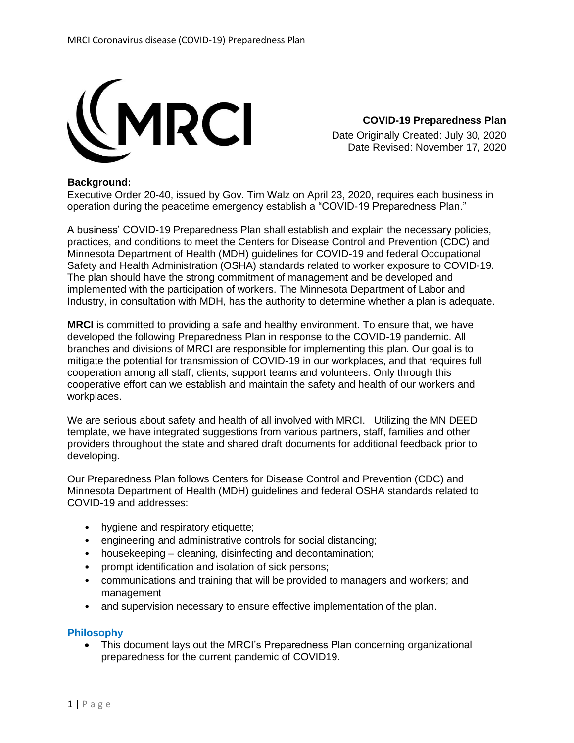

**COVID-19 Preparedness Plan** Date Originally Created: July 30, 2020 Date Revised: November 17, 2020

## **Background:**

Executive Order 20-40, issued by Gov. Tim Walz on April 23, 2020, requires each business in operation during the peacetime emergency establish a "COVID-19 Preparedness Plan."

A business' COVID-19 Preparedness Plan shall establish and explain the necessary policies, practices, and conditions to meet the Centers for Disease Control and Prevention (CDC) and Minnesota Department of Health (MDH) guidelines for COVID-19 and federal Occupational Safety and Health Administration (OSHA) standards related to worker exposure to COVID-19. The plan should have the strong commitment of management and be developed and implemented with the participation of workers. The Minnesota Department of Labor and Industry, in consultation with MDH, has the authority to determine whether a plan is adequate.

**MRCI** is committed to providing a safe and healthy environment. To ensure that, we have developed the following Preparedness Plan in response to the COVID-19 pandemic. All branches and divisions of MRCI are responsible for implementing this plan. Our goal is to mitigate the potential for transmission of COVID-19 in our workplaces, and that requires full cooperation among all staff, clients, support teams and volunteers. Only through this cooperative effort can we establish and maintain the safety and health of our workers and workplaces.

We are serious about safety and health of all involved with MRCI. Utilizing the MN DEED template, we have integrated suggestions from various partners, staff, families and other providers throughout the state and shared draft documents for additional feedback prior to developing.

Our Preparedness Plan follows Centers for Disease Control and Prevention (CDC) and Minnesota Department of Health (MDH) guidelines and federal OSHA standards related to COVID-19 and addresses:

- hygiene and respiratory etiquette;
- engineering and administrative controls for social distancing;
- housekeeping cleaning, disinfecting and decontamination;
- prompt identification and isolation of sick persons;
- communications and training that will be provided to managers and workers; and management
- and supervision necessary to ensure effective implementation of the plan.

#### **Philosophy**

• This document lays out the MRCI's Preparedness Plan concerning organizational preparedness for the current pandemic of COVID19.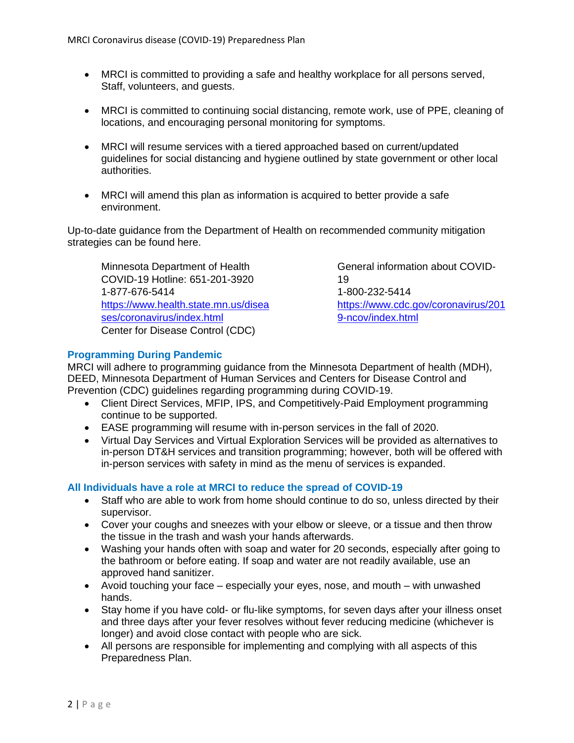- MRCI is committed to providing a safe and healthy workplace for all persons served, Staff, volunteers, and guests.
- MRCI is committed to continuing social distancing, remote work, use of PPE, cleaning of locations, and encouraging personal monitoring for symptoms.
- MRCI will resume services with a tiered approached based on current/updated guidelines for social distancing and hygiene outlined by state government or other local authorities.
- MRCI will amend this plan as information is acquired to better provide a safe environment.

Up-to-date guidance from the Department of Health on recommended community mitigation strategies can be found here.

Minnesota Department of Health COVID-19 Hotline: 651-201-3920 1-877-676-5414 [https://www.health.state.mn.us/disea](https://www.health.state.mn.us/diseases/coronavirus/index.html) [ses/coronavirus/index.html](https://www.health.state.mn.us/diseases/coronavirus/index.html) Center for Disease Control (CDC)

General information about COVID-19 1-800-232-5414 [https://www.cdc.gov/coronavirus/201](https://www.cdc.gov/coronavirus/2019-ncov/index.html) [9-ncov/index.html](https://www.cdc.gov/coronavirus/2019-ncov/index.html)

# **Programming During Pandemic**

MRCI will adhere to programming guidance from the Minnesota Department of health (MDH), DEED, Minnesota Department of Human Services and Centers for Disease Control and Prevention (CDC) guidelines regarding programming during COVID-19.

- Client Direct Services, MFIP, IPS, and Competitively-Paid Employment programming continue to be supported.
- EASE programming will resume with in-person services in the fall of 2020.
- Virtual Day Services and Virtual Exploration Services will be provided as alternatives to in-person DT&H services and transition programming; however, both will be offered with in-person services with safety in mind as the menu of services is expanded.

# **All Individuals have a role at MRCI to reduce the spread of COVID-19**

- Staff who are able to work from home should continue to do so, unless directed by their supervisor.
- Cover your coughs and sneezes with your elbow or sleeve, or a tissue and then throw the tissue in the trash and wash your hands afterwards.
- Washing your hands often with soap and water for 20 seconds, especially after going to the bathroom or before eating. If soap and water are not readily available, use an approved hand sanitizer.
- Avoid touching your face especially your eyes, nose, and mouth with unwashed hands.
- Stay home if you have cold- or flu-like symptoms, for seven days after your illness onset and three days after your fever resolves without fever reducing medicine (whichever is longer) and avoid close contact with people who are sick.
- All persons are responsible for implementing and complying with all aspects of this Preparedness Plan.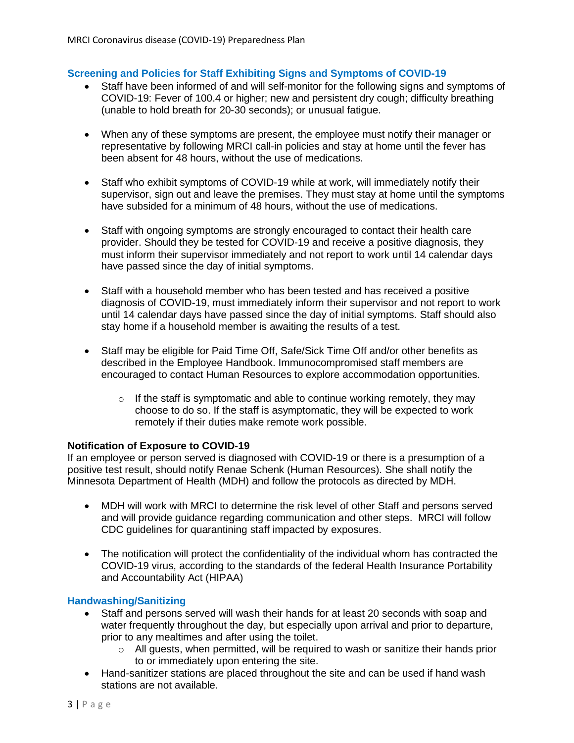## **Screening and Policies for Staff Exhibiting Signs and Symptoms of COVID-19**

- Staff have been informed of and will self-monitor for the following signs and symptoms of COVID-19: Fever of 100.4 or higher; new and persistent dry cough; difficulty breathing (unable to hold breath for 20-30 seconds); or unusual fatigue.
- When any of these symptoms are present, the employee must notify their manager or representative by following MRCI call-in policies and stay at home until the fever has been absent for 48 hours, without the use of medications.
- Staff who exhibit symptoms of COVID-19 while at work, will immediately notify their supervisor, sign out and leave the premises. They must stay at home until the symptoms have subsided for a minimum of 48 hours, without the use of medications.
- Staff with ongoing symptoms are strongly encouraged to contact their health care provider. Should they be tested for COVID-19 and receive a positive diagnosis, they must inform their supervisor immediately and not report to work until 14 calendar days have passed since the day of initial symptoms.
- Staff with a household member who has been tested and has received a positive diagnosis of COVID-19, must immediately inform their supervisor and not report to work until 14 calendar days have passed since the day of initial symptoms. Staff should also stay home if a household member is awaiting the results of a test.
- Staff may be eligible for Paid Time Off, Safe/Sick Time Off and/or other benefits as described in the Employee Handbook. Immunocompromised staff members are encouraged to contact Human Resources to explore accommodation opportunities.
	- $\circ$  If the staff is symptomatic and able to continue working remotely, they may choose to do so. If the staff is asymptomatic, they will be expected to work remotely if their duties make remote work possible.

#### **Notification of Exposure to COVID-19**

If an employee or person served is diagnosed with COVID-19 or there is a presumption of a positive test result, should notify Renae Schenk (Human Resources). She shall notify the Minnesota Department of Health (MDH) and follow the protocols as directed by MDH.

- MDH will work with MRCI to determine the risk level of other Staff and persons served and will provide guidance regarding communication and other steps. MRCI will follow CDC guidelines for quarantining staff impacted by exposures.
- The notification will protect the confidentiality of the individual whom has contracted the COVID-19 virus, according to the standards of the federal Health Insurance Portability and Accountability Act (HIPAA)

## **Handwashing/Sanitizing**

- Staff and persons served will wash their hands for at least 20 seconds with soap and water frequently throughout the day, but especially upon arrival and prior to departure, prior to any mealtimes and after using the toilet.
	- $\circ$  All guests, when permitted, will be required to wash or sanitize their hands prior to or immediately upon entering the site.
- Hand-sanitizer stations are placed throughout the site and can be used if hand wash stations are not available.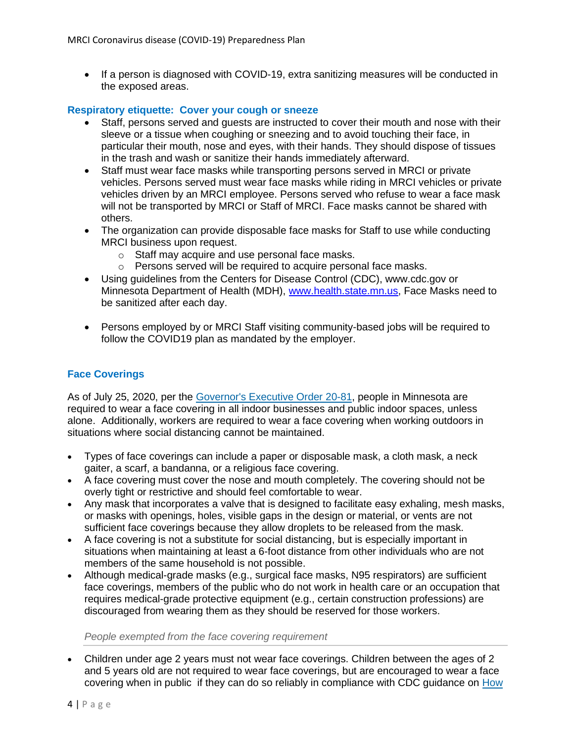• If a person is diagnosed with COVID-19, extra sanitizing measures will be conducted in the exposed areas.

#### **Respiratory etiquette: Cover your cough or sneeze**

- Staff, persons served and guests are instructed to cover their mouth and nose with their sleeve or a tissue when coughing or sneezing and to avoid touching their face, in particular their mouth, nose and eyes, with their hands. They should dispose of tissues in the trash and wash or sanitize their hands immediately afterward.
- Staff must wear face masks while transporting persons served in MRCI or private vehicles. Persons served must wear face masks while riding in MRCI vehicles or private vehicles driven by an MRCI employee. Persons served who refuse to wear a face mask will not be transported by MRCI or Staff of MRCI. Face masks cannot be shared with others.
- The organization can provide disposable face masks for Staff to use while conducting MRCI business upon request.
	- o Staff may acquire and use personal face masks.
	- o Persons served will be required to acquire personal face masks.
- Using guidelines from the Centers for Disease Control (CDC), www.cdc.gov or Minnesota Department of Health (MDH), [www.health.state.mn.us,](http://www.health.state.mn.us/) Face Masks need to be sanitized after each day.
- Persons employed by or MRCI Staff visiting community-based jobs will be required to follow the COVID19 plan as mandated by the employer.

# **Face Coverings**

As of July 25, 2020, per the [Governor's Executive Order 20-81,](https://www.leg.state.mn.us/archive/execorders/20-81.pdf) people in Minnesota are required to wear a face covering in all indoor businesses and public indoor spaces, unless alone. Additionally, workers are required to wear a face covering when working outdoors in situations where social distancing cannot be maintained.

- Types of face coverings can include a paper or disposable mask, a cloth mask, a neck gaiter, a scarf, a bandanna, or a religious face covering.
- A face covering must cover the nose and mouth completely. The covering should not be overly tight or restrictive and should feel comfortable to wear.
- Any mask that incorporates a valve that is designed to facilitate easy exhaling, mesh masks, or masks with openings, holes, visible gaps in the design or material, or vents are not sufficient face coverings because they allow droplets to be released from the mask.
- A face covering is not a substitute for social distancing, but is especially important in situations when maintaining at least a 6-foot distance from other individuals who are not members of the same household is not possible.
- Although medical-grade masks (e.g., surgical face masks, N95 respirators) are sufficient face coverings, members of the public who do not work in health care or an occupation that requires medical-grade protective equipment (e.g., certain construction professions) are discouraged from wearing them as they should be reserved for those workers.

#### *People exempted from the face covering requirement*

• Children under age 2 years must not wear face coverings. Children between the ages of 2 and 5 years old are not required to wear face coverings, but are encouraged to wear a face covering when in public if they can do so reliably in compliance with CDC guidance on [How](https://www.cdc.gov/coronavirus/2019-ncov/prevent-getting-sick/how-to-wear-cloth-face-coverings.html)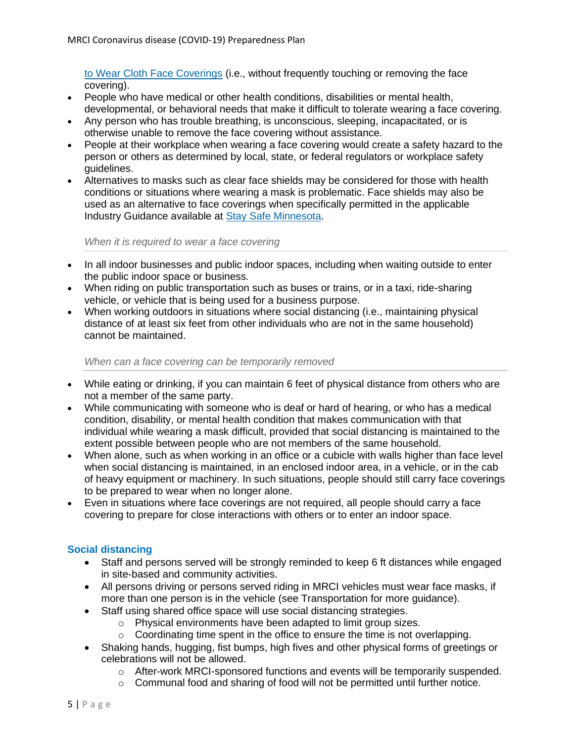[to Wear Cloth Face Coverings](https://www.cdc.gov/coronavirus/2019-ncov/prevent-getting-sick/how-to-wear-cloth-face-coverings.html) (i.e., without frequently touching or removing the face covering).

- People who have medical or other health conditions, disabilities or mental health, developmental, or behavioral needs that make it difficult to tolerate wearing a face covering.
- Any person who has trouble breathing, is unconscious, sleeping, incapacitated, or is otherwise unable to remove the face covering without assistance.
- People at their workplace when wearing a face covering would create a safety hazard to the person or others as determined by local, state, or federal regulators or workplace safety guidelines.
- Alternatives to masks such as clear face shields may be considered for those with health conditions or situations where wearing a mask is problematic. Face shields may also be used as an alternative to face coverings when specifically permitted in the applicable Industry Guidance available at [Stay Safe Minnesota.](https://staysafe.mn.gov/industry-guidance/index.jsp)

#### *When it is required to wear a face covering*

- In all indoor businesses and public indoor spaces, including when waiting outside to enter the public indoor space or business.
- When riding on public transportation such as buses or trains, or in a taxi, ride-sharing vehicle, or vehicle that is being used for a business purpose.
- When working outdoors in situations where social distancing (i.e., maintaining physical distance of at least six feet from other individuals who are not in the same household) cannot be maintained.

#### *When can a face covering can be temporarily removed*

- While eating or drinking, if you can maintain 6 feet of physical distance from others who are not a member of the same party.
- While communicating with someone who is deaf or hard of hearing, or who has a medical condition, disability, or mental health condition that makes communication with that individual while wearing a mask difficult, provided that social distancing is maintained to the extent possible between people who are not members of the same household.
- When alone, such as when working in an office or a cubicle with walls higher than face level when social distancing is maintained, in an enclosed indoor area, in a vehicle, or in the cab of heavy equipment or machinery. In such situations, people should still carry face coverings to be prepared to wear when no longer alone.
- Even in situations where face coverings are not required, all people should carry a face covering to prepare for close interactions with others or to enter an indoor space.

# **Social distancing**

- Staff and persons served will be strongly reminded to keep 6 ft distances while engaged in site-based and community activities.
- All persons driving or persons served riding in MRCI vehicles must wear face masks, if more than one person is in the vehicle (see Transportation for more guidance).
- Staff using shared office space will use social distancing strategies.
	- o Physical environments have been adapted to limit group sizes.
	- o Coordinating time spent in the office to ensure the time is not overlapping.
- Shaking hands, hugging, fist bumps, high fives and other physical forms of greetings or celebrations will not be allowed.
	- o After-work MRCI-sponsored functions and events will be temporarily suspended.
	- o Communal food and sharing of food will not be permitted until further notice.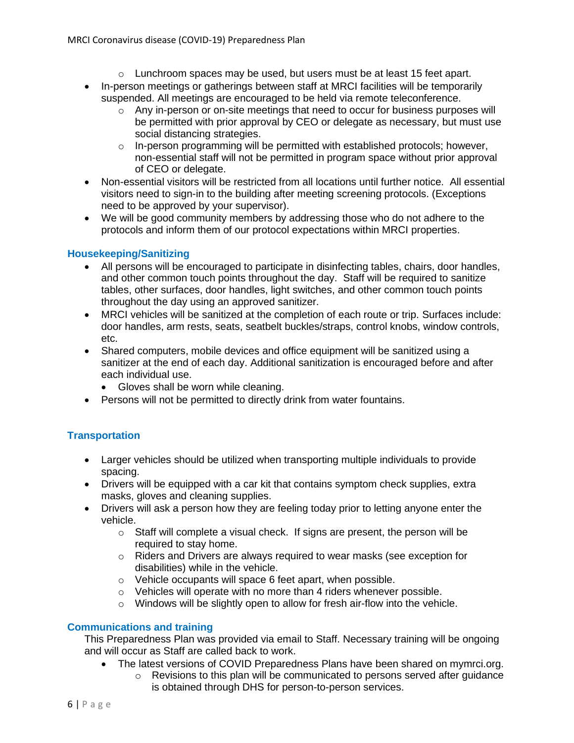- $\circ$  Lunchroom spaces may be used, but users must be at least 15 feet apart.
- In-person meetings or gatherings between staff at MRCI facilities will be temporarily suspended. All meetings are encouraged to be held via remote teleconference.
	- $\circ$  Any in-person or on-site meetings that need to occur for business purposes will be permitted with prior approval by CEO or delegate as necessary, but must use social distancing strategies.
	- $\circ$  In-person programming will be permitted with established protocols; however, non-essential staff will not be permitted in program space without prior approval of CEO or delegate.
- Non-essential visitors will be restricted from all locations until further notice. All essential visitors need to sign-in to the building after meeting screening protocols. (Exceptions need to be approved by your supervisor).
- We will be good community members by addressing those who do not adhere to the protocols and inform them of our protocol expectations within MRCI properties.

# **Housekeeping/Sanitizing**

- All persons will be encouraged to participate in disinfecting tables, chairs, door handles, and other common touch points throughout the day. Staff will be required to sanitize tables, other surfaces, door handles, light switches, and other common touch points throughout the day using an approved sanitizer.
- MRCI vehicles will be sanitized at the completion of each route or trip. Surfaces include: door handles, arm rests, seats, seatbelt buckles/straps, control knobs, window controls, etc.
- Shared computers, mobile devices and office equipment will be sanitized using a sanitizer at the end of each day. Additional sanitization is encouraged before and after each individual use.
	- Gloves shall be worn while cleaning.
- Persons will not be permitted to directly drink from water fountains.

# **Transportation**

- Larger vehicles should be utilized when transporting multiple individuals to provide spacing.
- Drivers will be equipped with a car kit that contains symptom check supplies, extra masks, gloves and cleaning supplies.
- Drivers will ask a person how they are feeling today prior to letting anyone enter the vehicle.
	- $\circ$  Staff will complete a visual check. If signs are present, the person will be required to stay home.
	- o Riders and Drivers are always required to wear masks (see exception for disabilities) while in the vehicle.
	- o Vehicle occupants will space 6 feet apart, when possible.
	- o Vehicles will operate with no more than 4 riders whenever possible.
	- o Windows will be slightly open to allow for fresh air-flow into the vehicle.

# **Communications and training**

This Preparedness Plan was provided via email to Staff. Necessary training will be ongoing and will occur as Staff are called back to work.

• The latest versions of COVID Preparedness Plans have been shared on mymrci.org.  $\circ$  Revisions to this plan will be communicated to persons served after quidance is obtained through DHS for person-to-person services.